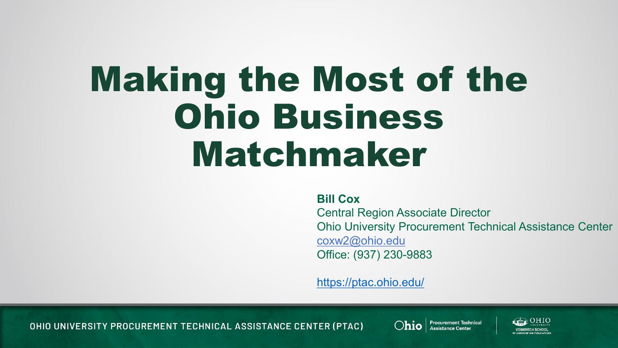## Making the Most of the Ohio Business Matchmaker

**Bill Cox**

Central Region Associate Director Ohio University Procurement Technical Assistance Center coxw2@ohio.edu Office: (937) 230-9883

<https://ptac.ohio.edu/>

OHIO UNIVERSITY PROCUREMENT TECHNICAL ASSISTANCE CENTER (PTAC)



Ohio | Procurement Technical

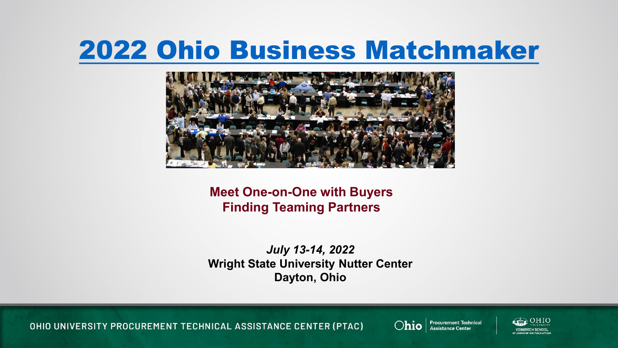#### [2022 Ohio Business Matchmaker](https://ohiobusinessmatchmaker.wordpress.com/)



**Meet One-on-One with Buyers Finding Teaming Partners**

*July 13-14, 2022* **Wright State University Nutter Center Dayton, Ohio**

OHIO UNIVERSITY PROCUREMENT TECHNICAL ASSISTANCE CENTER (PTAC)



Ohio | Procurement Technical

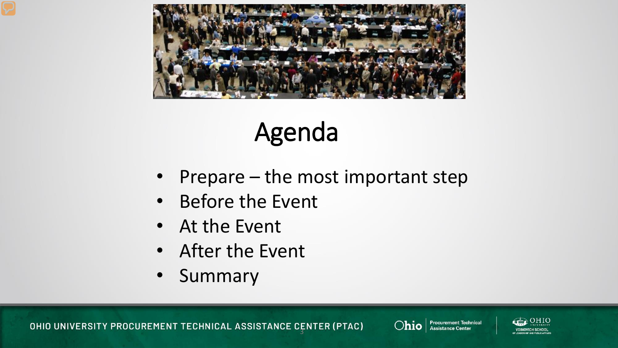



- Prepare the most important step
- Before the Event
- At the Event
- After the Event
- Summary



Ohio | Procurement Technical

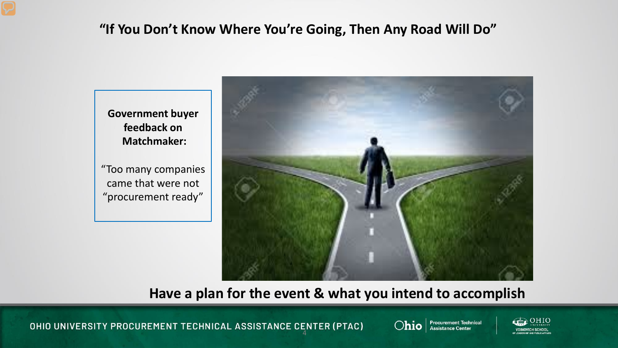#### **"If You Don't Know Where You're Going, Then Any Road Will Do"**

**Government buyer feedback on Matchmaker:**  "Too many companies

came that were not "procurement ready"



**Have a plan for the event & what you intend to accomplish**

OHIO UNIVERSITY PROCUREMENT TECHNICAL ASSISTANCE CENTER (PTAC)



Ohio | Procurement Technical

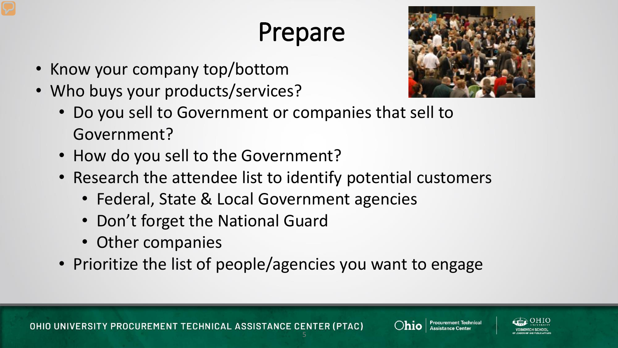- Know your company top/bottom
- Who buys your products/services?



- Do you sell to Government or companies that sell to Government?
- How do you sell to the Government?
- Research the attendee list to identify potential customers
	- Federal, State & Local Government agencies
	- Don't forget the National Guard
	- Other companies
- Prioritize the list of people/agencies you want to engage



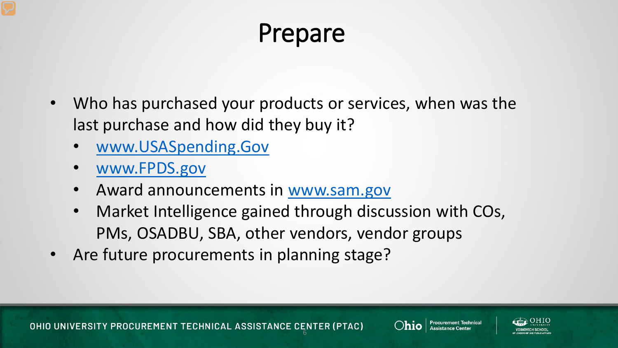- Who has purchased your products or services, when was the last purchase and how did they buy it?
	- [www.USASpending.Gov](http://www.usaspending.gov/)
	- [www.FPDS.gov](http://www.fpds.gov/)
	- Award announcements in [www.sam.gov](http://www.sam.gov/)
	- Market Intelligence gained through discussion with COs, PMs, OSADBU, SBA, other vendors, vendor groups
- Are future procurements in planning stage?



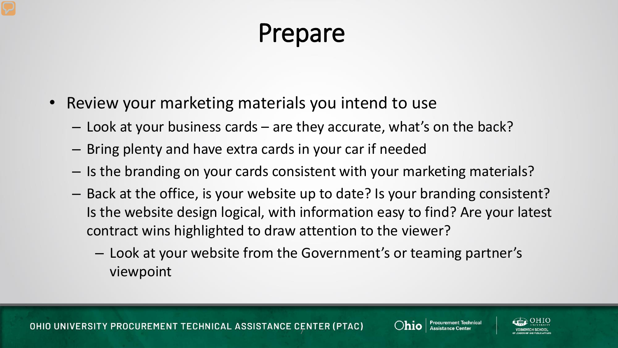- Review your marketing materials you intend to use
	- Look at your business cards are they accurate, what's on the back?
	- Bring plenty and have extra cards in your car if needed
	- Is the branding on your cards consistent with your marketing materials?
	- Back at the office, is your website up to date? Is your branding consistent? Is the website design logical, with information easy to find? Are your latest contract wins highlighted to draw attention to the viewer?
		- Look at your website from the Government's or teaming partner's viewpoint



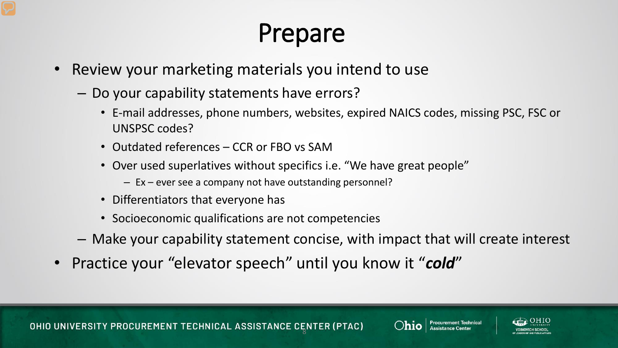- Review your marketing materials you intend to use
	- Do your capability statements have errors?
		- E-mail addresses, phone numbers, websites, expired NAICS codes, missing PSC, FSC or UNSPSC codes?
		- Outdated references CCR or FBO vs SAM
		- Over used superlatives without specifics i.e. "We have great people"
			- Ex ever see a company not have outstanding personnel?
		- Differentiators that everyone has
		- Socioeconomic qualifications are not competencies
	- Make your capability statement concise, with impact that will create interest
- Practice your "elevator speech" until you know it "*cold*"



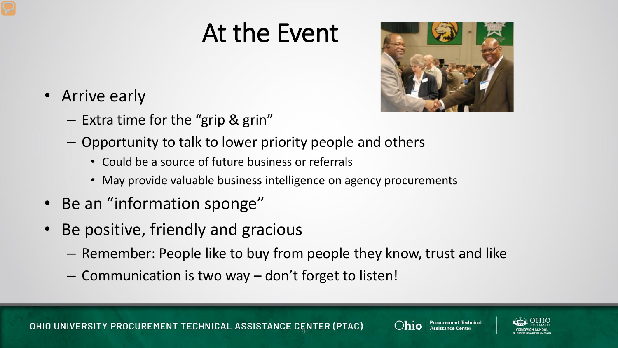#### At the Event



- Arrive early
	- Extra time for the "grip & grin"
	- Opportunity to talk to lower priority people and others
		- Could be a source of future business or referrals
		- May provide valuable business intelligence on agency procurements
- Be an "information sponge"
- Be positive, friendly and gracious
	- Remember: People like to buy from people they know, trust and like
	- Communication is two way don't forget to listen!



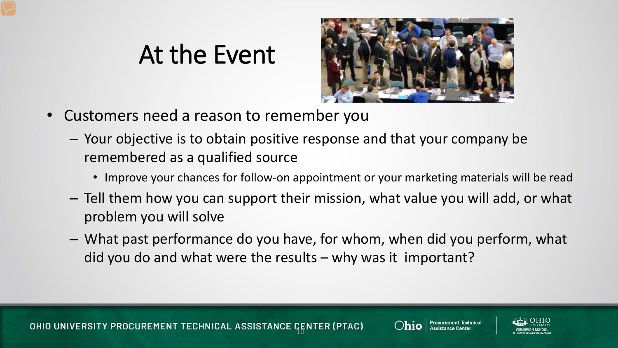#### At the Event



- Customers need a reason to remember you
	- Your objective is to obtain positive response and that your company be remembered as a qualified source
		- Improve your chances for follow-on appointment or your marketing materials will be read
	- Tell them how you can support their mission, what value you will add, or what problem you will solve
	- What past performance do you have, for whom, when did you perform, what did you do and what were the results – why was it important?



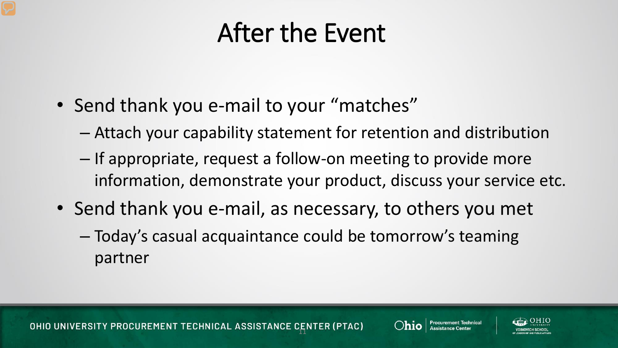#### After the Event

- Send thank you e-mail to your "matches"
	- Attach your capability statement for retention and distribution
	- If appropriate, request a follow-on meeting to provide more information, demonstrate your product, discuss your service etc.
- Send thank you e-mail, as necessary, to others you met
	- Today's casual acquaintance could be tomorrow's teaming partner





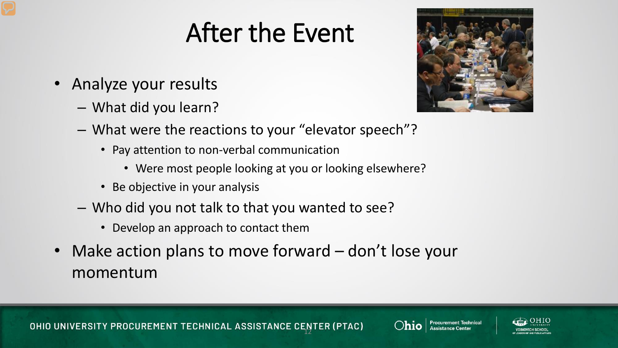### After the Event

- Analyze your results
	- What did you learn?



- What were the reactions to your "elevator speech"?
	- Pay attention to non-verbal communication
		- Were most people looking at you or looking elsewhere?
	- Be objective in your analysis
- Who did you not talk to that you wanted to see?
	- Develop an approach to contact them
- Make action plans to move forward don't lose your momentum



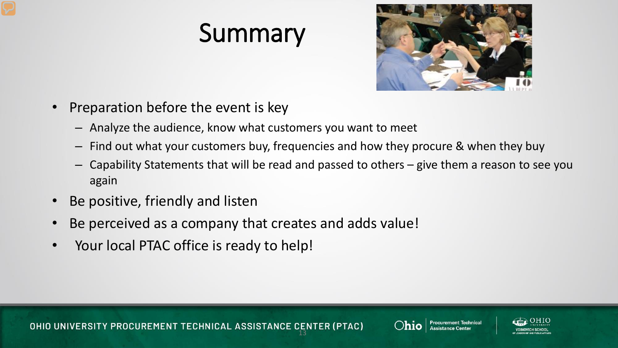#### Summary



- Preparation before the event is key
	- Analyze the audience, know what customers you want to meet
	- Find out what your customers buy, frequencies and how they procure & when they buy
	- Capability Statements that will be read and passed to others give them a reason to see you again
- Be positive, friendly and listen
- Be perceived as a company that creates and adds value!
- Your local PTAC office is ready to help!